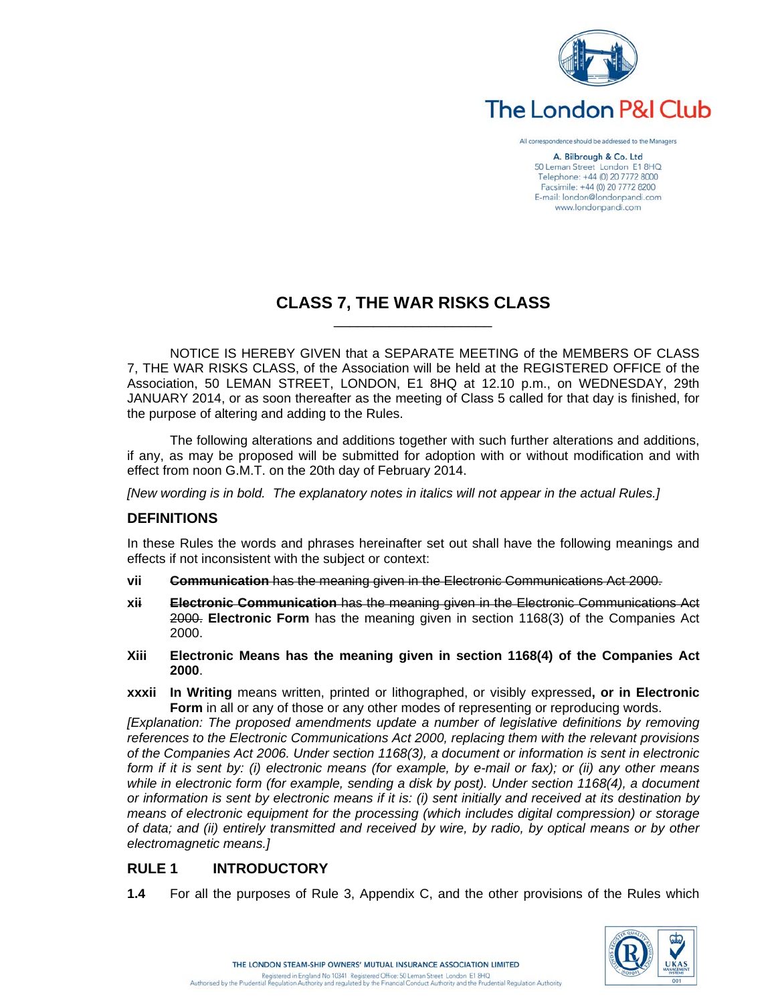

All correspondence should be addressed to the Managers

A. Bilbrough & Co. Ltd 50 Leman Street London E1 8HQ Telephone: +44 (0) 20 7772 8000 Facsimile: +44 (0) 20 7772 8200 E-mail: london@londonpandi.com www.londonpandi.com

# **CLASS 7, THE WAR RISKS CLASS**

 $\mathcal{L}_\text{max}$  and  $\mathcal{L}_\text{max}$  and  $\mathcal{L}_\text{max}$  and  $\mathcal{L}_\text{max}$  and  $\mathcal{L}_\text{max}$ 

NOTICE IS HEREBY GIVEN that a SEPARATE MEETING of the MEMBERS OF CLASS 7, THE WAR RISKS CLASS, of the Association will be held at the REGISTERED OFFICE of the Association, 50 LEMAN STREET, LONDON, E1 8HQ at 12.10 p.m., on WEDNESDAY, 29th JANUARY 2014, or as soon thereafter as the meeting of Class 5 called for that day is finished, for the purpose of altering and adding to the Rules.

The following alterations and additions together with such further alterations and additions, if any, as may be proposed will be submitted for adoption with or without modification and with effect from noon G.M.T. on the 20th day of February 2014.

*[New wording is in bold. The explanatory notes in italics will not appear in the actual Rules.]* 

#### **DEFINITIONS**

In these Rules the words and phrases hereinafter set out shall have the following meanings and effects if not inconsistent with the subject or context:

- **vii Communication** has the meaning given in the Electronic Communications Act 2000.
- **xii Electronic Communication** has the meaning given in the Electronic Communications Act 2000. **Electronic Form** has the meaning given in section 1168(3) of the Companies Act 2000.
- **Xiii Electronic Means has the meaning given in section 1168(4) of the Companies Act 2000**.
- **xxxii In Writing** means written, printed or lithographed, or visibly expressed**, or in Electronic Form** in all or any of those or any other modes of representing or reproducing words.

*[Explanation: The proposed amendments update a number of legislative definitions by removing references to the Electronic Communications Act 2000, replacing them with the relevant provisions of the Companies Act 2006. Under section 1168(3), a document or information is sent in electronic form if it is sent by: (i) electronic means (for example, by e-mail or fax); or (ii) any other means while in electronic form (for example, sending a disk by post). Under section 1168(4), a document or information is sent by electronic means if it is: (i) sent initially and received at its destination by means of electronic equipment for the processing (which includes digital compression) or storage of data; and (ii) entirely transmitted and received by wire, by radio, by optical means or by other electromagnetic means.]* 

## **RULE 1 INTRODUCTORY**

**1.4** For all the purposes of Rule 3, Appendix C, and the other provisions of the Rules which

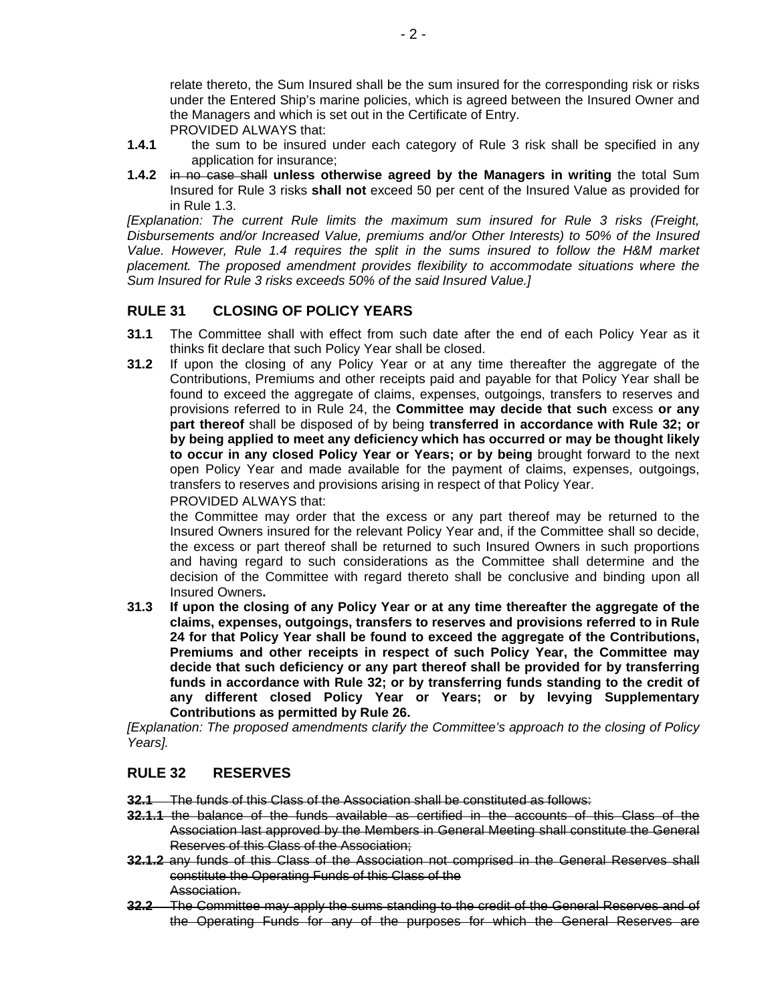relate thereto, the Sum Insured shall be the sum insured for the corresponding risk or risks under the Entered Ship's marine policies, which is agreed between the Insured Owner and the Managers and which is set out in the Certificate of Entry. PROVIDED ALWAYS that:

- **1.4.1** the sum to be insured under each category of Rule 3 risk shall be specified in any application for insurance;
- **1.4.2** in no case shall **unless otherwise agreed by the Managers in writing** the total Sum Insured for Rule 3 risks **shall not** exceed 50 per cent of the Insured Value as provided for in Rule 1.3.

*[Explanation: The current Rule limits the maximum sum insured for Rule 3 risks (Freight, Disbursements and/or Increased Value, premiums and/or Other Interests) to 50% of the Insured Value. However, Rule 1.4 requires the split in the sums insured to follow the H&M market placement. The proposed amendment provides flexibility to accommodate situations where the Sum Insured for Rule 3 risks exceeds 50% of the said Insured Value.]*

## **RULE 31 CLOSING OF POLICY YEARS**

- **31.1** The Committee shall with effect from such date after the end of each Policy Year as it thinks fit declare that such Policy Year shall be closed.
- **31.2** If upon the closing of any Policy Year or at any time thereafter the aggregate of the Contributions, Premiums and other receipts paid and payable for that Policy Year shall be found to exceed the aggregate of claims, expenses, outgoings, transfers to reserves and provisions referred to in Rule 24, the **Committee may decide that such** excess **or any part thereof** shall be disposed of by being **transferred in accordance with Rule 32; or by being applied to meet any deficiency which has occurred or may be thought likely to occur in any closed Policy Year or Years; or by being** brought forward to the next open Policy Year and made available for the payment of claims, expenses, outgoings, transfers to reserves and provisions arising in respect of that Policy Year. PROVIDED ALWAYS that:

the Committee may order that the excess or any part thereof may be returned to the Insured Owners insured for the relevant Policy Year and, if the Committee shall so decide, the excess or part thereof shall be returned to such Insured Owners in such proportions and having regard to such considerations as the Committee shall determine and the decision of the Committee with regard thereto shall be conclusive and binding upon all Insured Owners**.** 

**31.3 If upon the closing of any Policy Year or at any time thereafter the aggregate of the claims, expenses, outgoings, transfers to reserves and provisions referred to in Rule 24 for that Policy Year shall be found to exceed the aggregate of the Contributions, Premiums and other receipts in respect of such Policy Year, the Committee may decide that such deficiency or any part thereof shall be provided for by transferring funds in accordance with Rule 32; or by transferring funds standing to the credit of any different closed Policy Year or Years; or by levying Supplementary Contributions as permitted by Rule 26.** 

*[Explanation: The proposed amendments clarify the Committee's approach to the closing of Policy Years].* 

## **RULE 32 RESERVES**

**32.1** The funds of this Class of the Association shall be constituted as follows:

- **32.1.1** the balance of the funds available as certified in the accounts of this Class of the Association last approved by the Members in General Meeting shall constitute the General Reserves of this Class of the Association;
- **32.1.2** any funds of this Class of the Association not comprised in the General Reserves shall constitute the Operating Funds of this Class of the Association.
- **32.2** The Committee may apply the sums standing to the credit of the General Reserves and of the Operating Funds for any of the purposes for which the General Reserves are